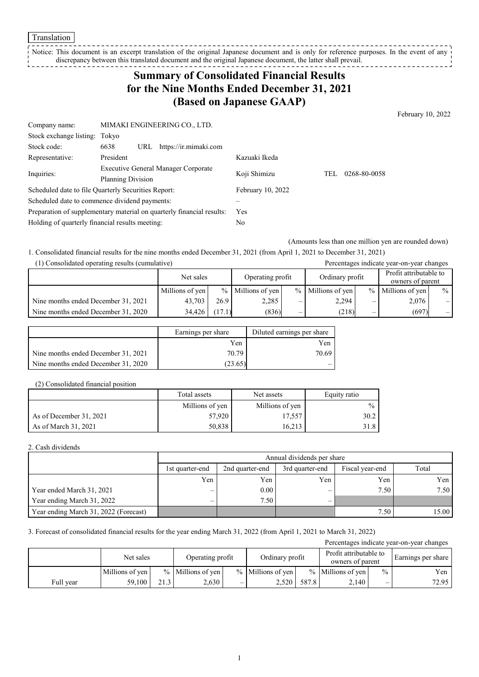Notice: This document is an excerpt translation of the original Japanese document and is only for reference purposes. In the event of any discrepancy between this translated document and the original Japanese document, the latter shall prevail.

# **Summary of Consolidated Financial Results for the Nine Months Ended December 31, 2021 (Based on Japanese GAAP)**

February 10, 2022

| Company name:                                                         | MIMAKI ENGINEERING CO., LTD.               |                   |     |              |
|-----------------------------------------------------------------------|--------------------------------------------|-------------------|-----|--------------|
| Stock exchange listing: Tokyo                                         |                                            |                   |     |              |
| Stock code:                                                           | 6638<br>https://ir.mimaki.com<br>URL       |                   |     |              |
| Representative:                                                       | President                                  | Kazuaki Ikeda     |     |              |
| Inquiries:                                                            | <b>Executive General Manager Corporate</b> | Koji Shimizu      | TEL | 0268-80-0058 |
|                                                                       | Planning Division                          |                   |     |              |
| Scheduled date to file Quarterly Securities Report:                   |                                            | February 10, 2022 |     |              |
| Scheduled date to commence dividend payments:                         |                                            |                   |     |              |
| Preparation of supplementary material on quarterly financial results: |                                            | Yes               |     |              |
| Holding of quarterly financial results meeting:                       |                                            | No                |     |              |

(Amounts less than one million yen are rounded down)

1. Consolidated financial results for the nine months ended December 31, 2021 (from April 1, 2021 to December 31, 2021)

| (1) Consolidated operating results (cumulative) |  |  |
|-------------------------------------------------|--|--|
|-------------------------------------------------|--|--|

| (1) Consolidated operating results (cumulative) |                 |                               |                     |                 |                     |                                            | Percentages indicate year-on-year changes |      |
|-------------------------------------------------|-----------------|-------------------------------|---------------------|-----------------|---------------------|--------------------------------------------|-------------------------------------------|------|
|                                                 |                 | Operating profit<br>Net sales |                     | Ordinary profit |                     | Profit attributable to<br>owners of parent |                                           |      |
|                                                 | Millions of yen |                               | $%$ Millions of yen |                 | $%$ Millions of yen |                                            | $%$ Millions of yen                       | $\%$ |
| Nine months ended December 31, 2021             | 43.703          | 26.9                          | 2,285               | –               | 2.294               | –                                          | 2,076                                     | $-1$ |
| Nine months ended December 31, 2020             | 34.426          | (17.1)                        | (836)               | —               | (218)               |                                            | (697)                                     | $-1$ |

|                                     | Earnings per share | Diluted earnings per share |
|-------------------------------------|--------------------|----------------------------|
|                                     | Yen                | Yen                        |
| Nine months ended December 31, 2021 | 70.79              | 70.69                      |
| Nine months ended December 31, 2020 | (23.65)            | _                          |

#### (2) Consolidated financial position

|                         | Total assets    | Net assets      | Equity ratio  |
|-------------------------|-----------------|-----------------|---------------|
|                         | Millions of yen | Millions of yen | $\frac{0}{0}$ |
| As of December 31, 2021 | 57.920          | 17,557          | 30.2          |
| As of March 31, 2021    | 50,838          | 16.213          |               |

#### 2. Cash dividends

|                                       | Annual dividends per share |                 |                 |       |       |  |
|---------------------------------------|----------------------------|-----------------|-----------------|-------|-------|--|
|                                       | 1st quarter-end            | 2nd quarter-end | Fiscal year-end | Total |       |  |
|                                       | Yen                        | Yen             | Yen             | Yen   | Yen   |  |
| Year ended March 31, 2021             | —                          | 0.00            | _               | 7.50  | 7.50  |  |
| Year ending March 31, 2022            | $\overline{\phantom{0}}$   | 7.50            |                 |       |       |  |
| Year ending March 31, 2022 (Forecast) |                            |                 |                 | 7.50  | 15.00 |  |

#### 3. Forecast of consolidated financial results for the year ending March 31, 2022 (from April 1, 2021 to March 31, 2022)

| Percentages indicate year-on-year changes |                 |      |                   |   |                     |       |                                            |               |                    |
|-------------------------------------------|-----------------|------|-------------------|---|---------------------|-------|--------------------------------------------|---------------|--------------------|
|                                           | Net sales       |      | Operating profit  |   | Ordinary profit     |       | Profit attributable to<br>owners of parent |               | Earnings per share |
|                                           | Millions of yen |      | % Millions of yen |   | $%$ Millions of yen |       | $%$ Millions of yen                        | $\frac{0}{0}$ | Yen                |
| Full year                                 | 59,100          | 21.3 | 2.630             | – | 2.520               | 587.8 | 2.140                                      | _             | 72.95              |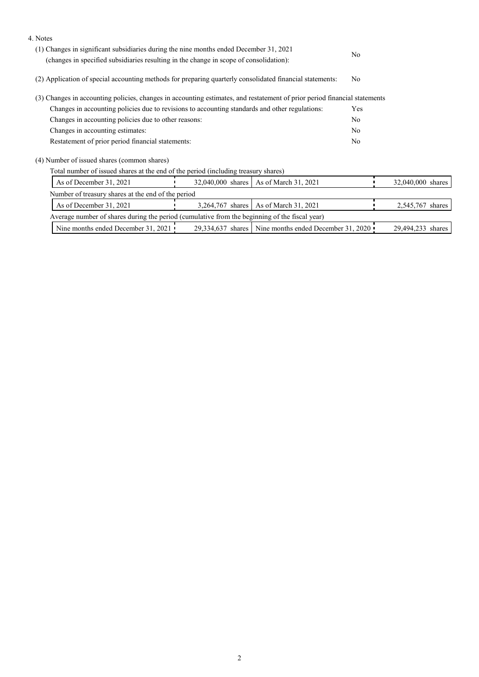| 4. Notes                                                                                                                                                                         |                   |                                                         |                |                   |  |
|----------------------------------------------------------------------------------------------------------------------------------------------------------------------------------|-------------------|---------------------------------------------------------|----------------|-------------------|--|
| (1) Changes in significant subsidiaries during the nine months ended December 31, 2021<br>(changes in specified subsidiaries resulting in the change in scope of consolidation): |                   |                                                         | N <sub>o</sub> |                   |  |
| (2) Application of special accounting methods for preparing quarterly consolidated financial statements:                                                                         |                   |                                                         | N <sub>o</sub> |                   |  |
| (3) Changes in accounting policies, changes in accounting estimates, and restatement of prior period financial statements                                                        |                   |                                                         |                |                   |  |
| Changes in accounting policies due to revisions to accounting standards and other regulations:                                                                                   |                   |                                                         | Yes            |                   |  |
| Changes in accounting policies due to other reasons:                                                                                                                             |                   |                                                         | N <sub>o</sub> |                   |  |
| Changes in accounting estimates:                                                                                                                                                 |                   |                                                         | N <sub>o</sub> |                   |  |
| Restatement of prior period financial statements:                                                                                                                                |                   |                                                         | N <sub>o</sub> |                   |  |
| (4) Number of issued shares (common shares)                                                                                                                                      |                   |                                                         |                |                   |  |
| Total number of issued shares at the end of the period (including treasury shares)                                                                                               |                   |                                                         |                |                   |  |
| As of December 31, 2021                                                                                                                                                          | 32,040,000 shares | As of March 31, 2021                                    |                | 32,040,000 shares |  |
| Number of treasury shares at the end of the period                                                                                                                               |                   |                                                         |                |                   |  |
| As of December 31, 2021                                                                                                                                                          | 3.264.767 shares  | As of March 31, 2021                                    |                | 2,545,767 shares  |  |
| Average number of shares during the period (cumulative from the beginning of the fiscal year)                                                                                    |                   |                                                         |                |                   |  |
| Nine months ended December 31, 2021                                                                                                                                              |                   | 29,334,637 shares   Nine months ended December 31, 2020 |                | 29,494,233 shares |  |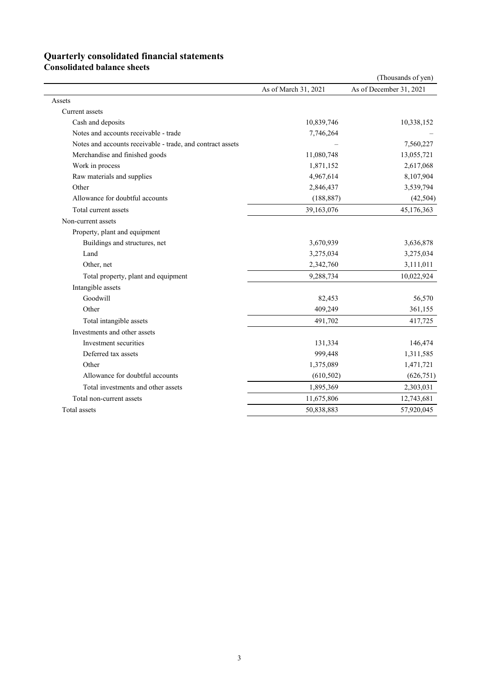## **Quarterly consolidated financial statements**

**Consolidated balance sheets** 

|                                                            |                      | (Thousands of yen)      |
|------------------------------------------------------------|----------------------|-------------------------|
|                                                            | As of March 31, 2021 | As of December 31, 2021 |
| Assets                                                     |                      |                         |
| Current assets                                             |                      |                         |
| Cash and deposits                                          | 10,839,746           | 10,338,152              |
| Notes and accounts receivable - trade                      | 7,746,264            |                         |
| Notes and accounts receivable - trade, and contract assets |                      | 7,560,227               |
| Merchandise and finished goods                             | 11,080,748           | 13,055,721              |
| Work in process                                            | 1,871,152            | 2,617,068               |
| Raw materials and supplies                                 | 4,967,614            | 8,107,904               |
| Other                                                      | 2,846,437            | 3,539,794               |
| Allowance for doubtful accounts                            | (188, 887)           | (42, 504)               |
| Total current assets                                       | 39,163,076           | 45,176,363              |
| Non-current assets                                         |                      |                         |
| Property, plant and equipment                              |                      |                         |
| Buildings and structures, net                              | 3,670,939            | 3,636,878               |
| Land                                                       | 3,275,034            | 3,275,034               |
| Other, net                                                 | 2,342,760            | 3,111,011               |
| Total property, plant and equipment                        | 9,288,734            | 10,022,924              |
| Intangible assets                                          |                      |                         |
| Goodwill                                                   | 82,453               | 56,570                  |
| Other                                                      | 409,249              | 361,155                 |
| Total intangible assets                                    | 491,702              | 417,725                 |
| Investments and other assets                               |                      |                         |
| Investment securities                                      | 131,334              | 146,474                 |
| Deferred tax assets                                        | 999,448              | 1,311,585               |
| Other                                                      | 1,375,089            | 1,471,721               |
| Allowance for doubtful accounts                            | (610, 502)           | (626, 751)              |
| Total investments and other assets                         | 1,895,369            | 2,303,031               |
| Total non-current assets                                   | 11,675,806           | 12,743,681              |
| Total assets                                               | 50,838,883           | 57,920,045              |
|                                                            |                      |                         |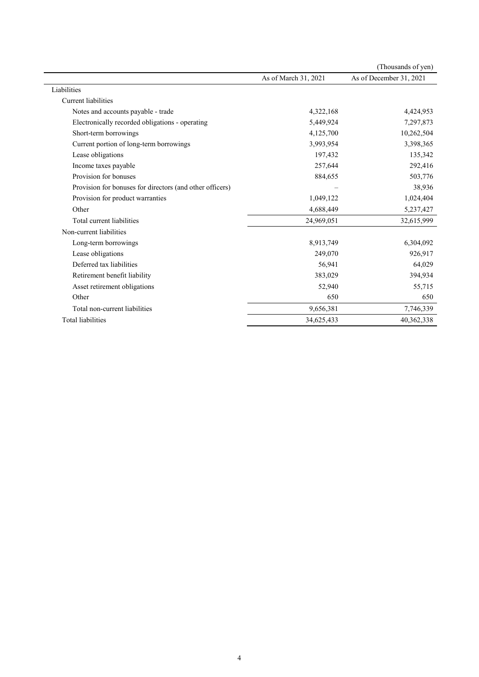|                                                          |                      | (Thousands of yen)      |
|----------------------------------------------------------|----------------------|-------------------------|
|                                                          | As of March 31, 2021 | As of December 31, 2021 |
| Liabilities                                              |                      |                         |
| Current liabilities                                      |                      |                         |
| Notes and accounts payable - trade                       | 4,322,168            | 4,424,953               |
| Electronically recorded obligations - operating          | 5,449,924            | 7,297,873               |
| Short-term borrowings                                    | 4,125,700            | 10,262,504              |
| Current portion of long-term borrowings                  | 3,993,954            | 3,398,365               |
| Lease obligations                                        | 197,432              | 135,342                 |
| Income taxes payable                                     | 257,644              | 292,416                 |
| Provision for bonuses                                    | 884,655              | 503,776                 |
| Provision for bonuses for directors (and other officers) |                      | 38,936                  |
| Provision for product warranties                         | 1,049,122            | 1,024,404               |
| Other                                                    | 4,688,449            | 5,237,427               |
| Total current liabilities                                | 24,969,051           | 32,615,999              |
| Non-current liabilities                                  |                      |                         |
| Long-term borrowings                                     | 8,913,749            | 6,304,092               |
| Lease obligations                                        | 249,070              | 926,917                 |
| Deferred tax liabilities                                 | 56,941               | 64,029                  |
| Retirement benefit liability                             | 383,029              | 394,934                 |
| Asset retirement obligations                             | 52,940               | 55,715                  |
| Other                                                    | 650                  | 650                     |
| Total non-current liabilities                            | 9,656,381            | 7,746,339               |
| <b>Total liabilities</b>                                 | 34,625,433           | 40,362,338              |
|                                                          |                      |                         |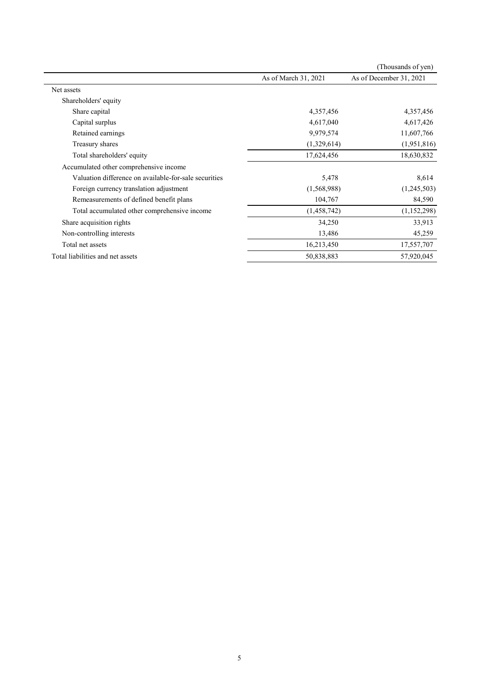|                                                       |                      | (Thousands of yen)      |
|-------------------------------------------------------|----------------------|-------------------------|
|                                                       | As of March 31, 2021 | As of December 31, 2021 |
| Net assets                                            |                      |                         |
| Shareholders' equity                                  |                      |                         |
| Share capital                                         | 4,357,456            | 4,357,456               |
| Capital surplus                                       | 4,617,040            | 4,617,426               |
| Retained earnings                                     | 9,979,574            | 11,607,766              |
| Treasury shares                                       | (1,329,614)          | (1,951,816)             |
| Total shareholders' equity                            | 17,624,456           | 18,630,832              |
| Accumulated other comprehensive income                |                      |                         |
| Valuation difference on available-for-sale securities | 5,478                | 8,614                   |
| Foreign currency translation adjustment               | (1,568,988)          | (1,245,503)             |
| Remeasurements of defined benefit plans               | 104,767              | 84,590                  |
| Total accumulated other comprehensive income          | (1,458,742)          | (1, 152, 298)           |
| Share acquisition rights                              | 34,250               | 33,913                  |
| Non-controlling interests                             | 13,486               | 45,259                  |
| Total net assets                                      | 16,213,450           | 17,557,707              |
| Total liabilities and net assets                      | 50,838,883           | 57,920,045              |
|                                                       |                      |                         |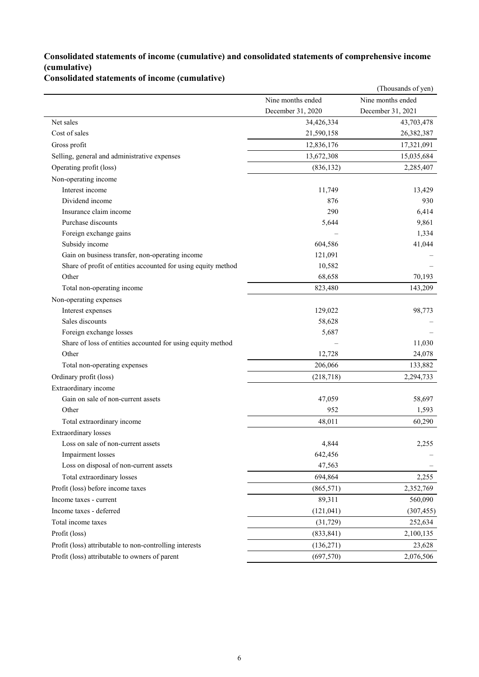### **Consolidated statements of income (cumulative) and consolidated statements of comprehensive income (cumulative)**

**Consolidated statements of income (cumulative)**

|                                                               |                   | (Thousands of yen) |
|---------------------------------------------------------------|-------------------|--------------------|
|                                                               | Nine months ended | Nine months ended  |
|                                                               | December 31, 2020 | December 31, 2021  |
| Net sales                                                     | 34,426,334        | 43,703,478         |
| Cost of sales                                                 | 21,590,158        | 26,382,387         |
| Gross profit                                                  | 12,836,176        | 17,321,091         |
| Selling, general and administrative expenses                  | 13,672,308        | 15,035,684         |
| Operating profit (loss)                                       | (836, 132)        | 2,285,407          |
| Non-operating income                                          |                   |                    |
| Interest income                                               | 11,749            | 13,429             |
| Dividend income                                               | 876               | 930                |
| Insurance claim income                                        | 290               | 6,414              |
| Purchase discounts                                            | 5,644             | 9,861              |
| Foreign exchange gains                                        |                   | 1,334              |
| Subsidy income                                                | 604,586           | 41,044             |
| Gain on business transfer, non-operating income               | 121,091           |                    |
| Share of profit of entities accounted for using equity method | 10,582            |                    |
| Other                                                         | 68,658            | 70,193             |
| Total non-operating income                                    | 823,480           | 143,209            |
| Non-operating expenses                                        |                   |                    |
| Interest expenses                                             | 129,022           | 98,773             |
| Sales discounts                                               | 58,628            |                    |
| Foreign exchange losses                                       | 5,687             |                    |
| Share of loss of entities accounted for using equity method   |                   | 11,030             |
| Other                                                         | 12,728            | 24,078             |
| Total non-operating expenses                                  | 206,066           | 133,882            |
| Ordinary profit (loss)                                        | (218, 718)        | 2,294,733          |
| Extraordinary income                                          |                   |                    |
| Gain on sale of non-current assets                            | 47,059            | 58,697             |
| Other                                                         | 952               | 1,593              |
| Total extraordinary income                                    | 48,011            | 60,290             |
| <b>Extraordinary</b> losses                                   |                   |                    |
| Loss on sale of non-current assets                            | 4,844             | 2,255              |
| Impairment losses                                             | 642,456           |                    |
| Loss on disposal of non-current assets                        | 47,563            |                    |
| Total extraordinary losses                                    | 694,864           | 2,255              |
| Profit (loss) before income taxes                             | (865, 571)        | 2,352,769          |
| Income taxes - current                                        | 89,311            | 560,090            |
| Income taxes - deferred                                       | (121, 041)        | (307, 455)         |
| Total income taxes                                            | (31, 729)         | 252,634            |
| Profit (loss)                                                 | (833, 841)        | 2,100,135          |
| Profit (loss) attributable to non-controlling interests       | (136,271)         | 23,628             |
| Profit (loss) attributable to owners of parent                | (697, 570)        | 2,076,506          |